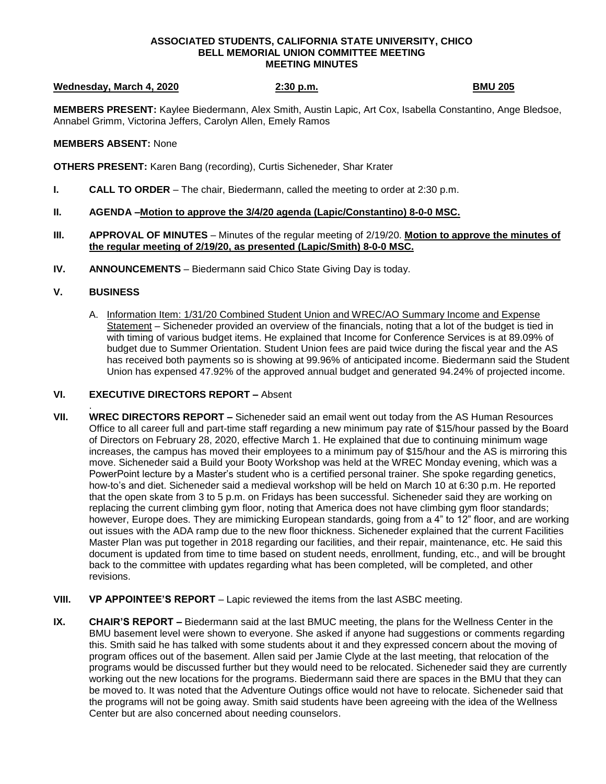### **ASSOCIATED STUDENTS, CALIFORNIA STATE UNIVERSITY, CHICO BELL MEMORIAL UNION COMMITTEE MEETING MEETING MINUTES**

### **Wednesday, March 4, 2020** 2:30 p.m. **BMU 205 BMU 205**

**MEMBERS PRESENT:** Kaylee Biedermann, Alex Smith, Austin Lapic, Art Cox, Isabella Constantino, Ange Bledsoe, Annabel Grimm, Victorina Jeffers, Carolyn Allen, Emely Ramos

### **MEMBERS ABSENT:** None

**OTHERS PRESENT:** Karen Bang (recording), Curtis Sicheneder, Shar Krater

- **I. CALL TO ORDER**  The chair, Biedermann, called the meeting to order at 2:30 p.m.
- **II. AGENDA –Motion to approve the 3/4/20 agenda (Lapic/Constantino) 8-0-0 MSC.**
- **III. APPROVAL OF MINUTES** Minutes of the regular meeting of 2/19/20. **Motion to approve the minutes of the regular meeting of 2/19/20, as presented (Lapic/Smith) 8-0-0 MSC.**
- **IV. ANNOUNCEMENTS** Biedermann said Chico State Giving Day is today.

# **V. BUSINESS**

A. Information Item: 1/31/20 Combined Student Union and WREC/AO Summary Income and Expense Statement – Sicheneder provided an overview of the financials, noting that a lot of the budget is tied in with timing of various budget items. He explained that Income for Conference Services is at 89.09% of budget due to Summer Orientation. Student Union fees are paid twice during the fiscal year and the AS has received both payments so is showing at 99.96% of anticipated income. Biedermann said the Student Union has expensed 47.92% of the approved annual budget and generated 94.24% of projected income.

## **VI. EXECUTIVE DIRECTORS REPORT –** Absent

- . **VII. WREC DIRECTORS REPORT –** Sicheneder said an email went out today from the AS Human Resources Office to all career full and part-time staff regarding a new minimum pay rate of \$15/hour passed by the Board of Directors on February 28, 2020, effective March 1. He explained that due to continuing minimum wage increases, the campus has moved their employees to a minimum pay of \$15/hour and the AS is mirroring this move. Sicheneder said a Build your Booty Workshop was held at the WREC Monday evening, which was a PowerPoint lecture by a Master's student who is a certified personal trainer. She spoke regarding genetics, how-to's and diet. Sicheneder said a medieval workshop will be held on March 10 at 6:30 p.m. He reported that the open skate from 3 to 5 p.m. on Fridays has been successful. Sicheneder said they are working on replacing the current climbing gym floor, noting that America does not have climbing gym floor standards; however, Europe does. They are mimicking European standards, going from a 4" to 12" floor, and are working out issues with the ADA ramp due to the new floor thickness. Sicheneder explained that the current Facilities Master Plan was put together in 2018 regarding our facilities, and their repair, maintenance, etc. He said this document is updated from time to time based on student needs, enrollment, funding, etc., and will be brought back to the committee with updates regarding what has been completed, will be completed, and other revisions.
- **VIII. VP APPOINTEE'S REPORT** Lapic reviewed the items from the last ASBC meeting.
- **IX. CHAIR'S REPORT –** Biedermann said at the last BMUC meeting, the plans for the Wellness Center in the BMU basement level were shown to everyone. She asked if anyone had suggestions or comments regarding this. Smith said he has talked with some students about it and they expressed concern about the moving of program offices out of the basement. Allen said per Jamie Clyde at the last meeting, that relocation of the programs would be discussed further but they would need to be relocated. Sicheneder said they are currently working out the new locations for the programs. Biedermann said there are spaces in the BMU that they can be moved to. It was noted that the Adventure Outings office would not have to relocate. Sicheneder said that the programs will not be going away. Smith said students have been agreeing with the idea of the Wellness Center but are also concerned about needing counselors.